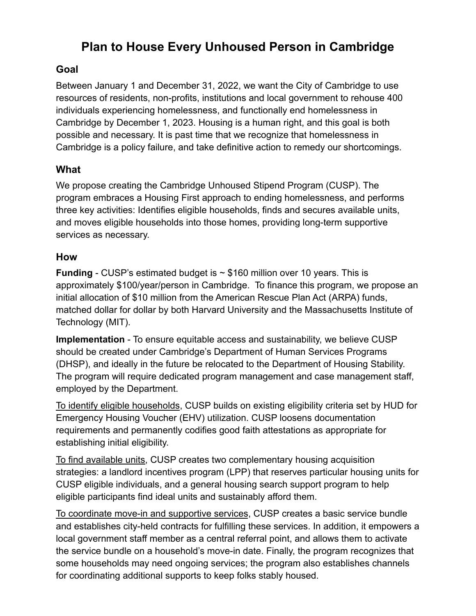## **Plan to House Every Unhoused Person in Cambridge**

## **Goal**

Between January 1 and December 31, 2022, we want the City of Cambridge to use resources of residents, non-profits, institutions and local government to rehouse 400 individuals experiencing homelessness, and functionally end homelessness in Cambridge by December 1, 2023. Housing is a human right, and this goal is both possible and necessary. It is past time that we recognize that homelessness in Cambridge is a policy failure, and take definitive action to remedy our shortcomings.

## **What**

We propose creating the Cambridge Unhoused Stipend Program (CUSP). The program embraces a Housing First approach to ending homelessness, and performs three key activities: Identifies eligible households, finds and secures available units, and moves eligible households into those homes, providing long-term supportive services as necessary.

## **How**

**Funding** - CUSP's estimated budget is ~ \$160 million over 10 years. This is approximately \$100/year/person in Cambridge. To finance this program, we propose an initial allocation of \$10 million from the American Rescue Plan Act (ARPA) funds, matched dollar for dollar by both Harvard University and the Massachusetts Institute of Technology (MIT).

**Implementation** - To ensure equitable access and sustainability, we believe CUSP should be created under Cambridge's Department of Human Services Programs (DHSP), and ideally in the future be relocated to the Department of Housing Stability. The program will require dedicated program management and case management staff, employed by the Department.

To identify eligible households, CUSP builds on existing eligibility criteria set by HUD for Emergency Housing Voucher (EHV) utilization. CUSP loosens documentation requirements and permanently codifies good faith attestations as appropriate for establishing initial eligibility.

To find available units, CUSP creates two complementary housing acquisition strategies: a landlord incentives program (LPP) that reserves particular housing units for CUSP eligible individuals, and a general housing search support program to help eligible participants find ideal units and sustainably afford them.

To coordinate move-in and supportive services, CUSP creates a basic service bundle and establishes city-held contracts for fulfilling these services. In addition, it empowers a local government staff member as a central referral point, and allows them to activate the service bundle on a household's move-in date. Finally, the program recognizes that some households may need ongoing services; the program also establishes channels for coordinating additional supports to keep folks stably housed.